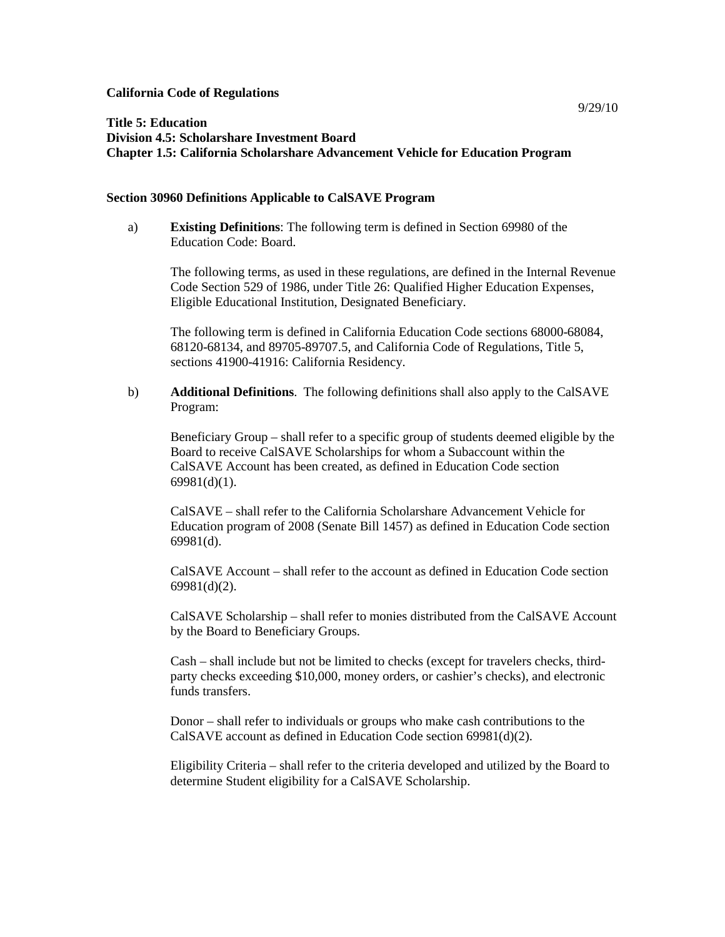#### **California Code of Regulations**

# **Title 5: Education Division 4.5: Scholarshare Investment Board Chapter 1.5: California Scholarshare Advancement Vehicle for Education Program**

#### **Section 30960 Definitions Applicable to CalSAVE Program**

a) **Existing Definitions**: The following term is defined in Section 69980 of the Education Code: Board.

The following terms, as used in these regulations, are defined in the Internal Revenue Code Section 529 of 1986, under Title 26: Qualified Higher Education Expenses, Eligible Educational Institution, Designated Beneficiary.

The following term is defined in California Education Code sections 68000-68084, 68120-68134, and 89705-89707.5, and California Code of Regulations, Title 5, sections 41900-41916: California Residency.

b) **Additional Definitions**. The following definitions shall also apply to the CalSAVE Program:

Beneficiary Group – shall refer to a specific group of students deemed eligible by the Board to receive CalSAVE Scholarships for whom a Subaccount within the CalSAVE Account has been created, as defined in Education Code section 69981(d)(1).

CalSAVE – shall refer to the California Scholarshare Advancement Vehicle for Education program of 2008 (Senate Bill 1457) as defined in Education Code section 69981(d).

CalSAVE Account – shall refer to the account as defined in Education Code section 69981(d)(2).

CalSAVE Scholarship – shall refer to monies distributed from the CalSAVE Account by the Board to Beneficiary Groups.

Cash – shall include but not be limited to checks (except for travelers checks, thirdparty checks exceeding \$10,000, money orders, or cashier's checks), and electronic funds transfers.

Donor – shall refer to individuals or groups who make cash contributions to the CalSAVE account as defined in Education Code section 69981(d)(2).

Eligibility Criteria – shall refer to the criteria developed and utilized by the Board to determine Student eligibility for a CalSAVE Scholarship.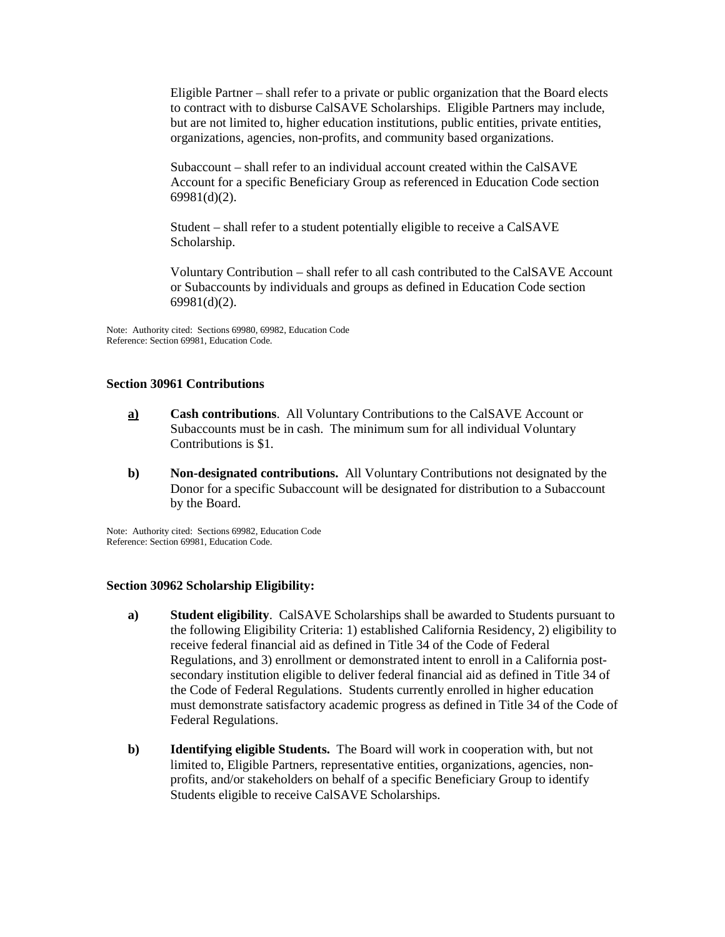Eligible Partner – shall refer to a private or public organization that the Board elects to contract with to disburse CalSAVE Scholarships. Eligible Partners may include, but are not limited to, higher education institutions, public entities, private entities, organizations, agencies, non-profits, and community based organizations.

Subaccount – shall refer to an individual account created within the CalSAVE Account for a specific Beneficiary Group as referenced in Education Code section 69981(d)(2).

Student – shall refer to a student potentially eligible to receive a CalSAVE Scholarship.

Voluntary Contribution – shall refer to all cash contributed to the CalSAVE Account or Subaccounts by individuals and groups as defined in Education Code section 69981(d)(2).

Note: Authority cited: Sections 69980, 69982, Education Code Reference: Section 69981, Education Code.

## **Section 30961 Contributions**

- **a) Cash contributions**. All Voluntary Contributions to the CalSAVE Account or Subaccounts must be in cash. The minimum sum for all individual Voluntary Contributions is \$1.
- **b) Non-designated contributions.** All Voluntary Contributions not designated by the Donor for a specific Subaccount will be designated for distribution to a Subaccount by the Board.

Note: Authority cited: Sections 69982, Education Code Reference: Section 69981, Education Code.

## **Section 30962 Scholarship Eligibility:**

- **a) Student eligibility**. CalSAVE Scholarships shall be awarded to Students pursuant to the following Eligibility Criteria: 1) established California Residency, 2) eligibility to receive federal financial aid as defined in Title 34 of the Code of Federal Regulations, and 3) enrollment or demonstrated intent to enroll in a California postsecondary institution eligible to deliver federal financial aid as defined in Title 34 of the Code of Federal Regulations. Students currently enrolled in higher education must demonstrate satisfactory academic progress as defined in Title 34 of the Code of Federal Regulations.
- **b) Identifying eligible Students.** The Board will work in cooperation with, but not limited to, Eligible Partners, representative entities, organizations, agencies, nonprofits, and/or stakeholders on behalf of a specific Beneficiary Group to identify Students eligible to receive CalSAVE Scholarships.